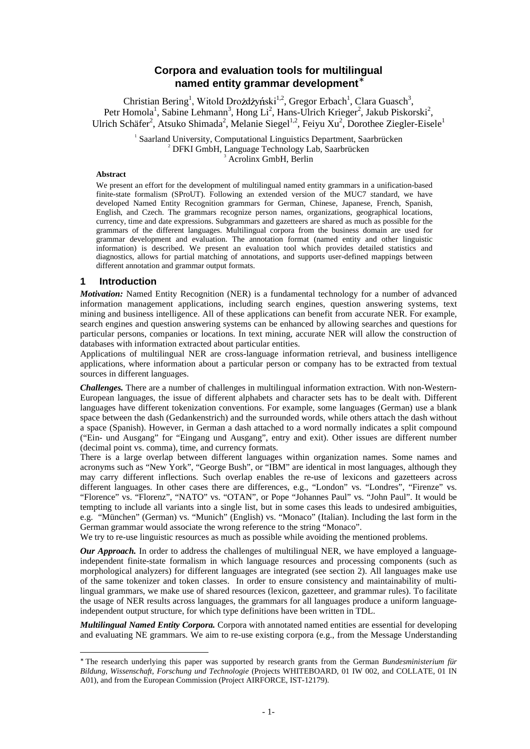# **Corpora and evaluation tools for multilingual named entity grammar development** ∗

Christian Bering<sup>1</sup>, Witold Drożdżyński<sup>1,2</sup>, Gregor Erbach<sup>1</sup>, Clara Guasch<sup>3</sup>, Petr Homola<sup>1</sup>, Sabine Lehmann<sup>3</sup>, Hong Li<sup>2</sup>, Hans-Ulrich Krieger<sup>2</sup>, Jakub Piskorski<sup>2</sup>, Ulrich Schäfer<sup>2</sup>, Atsuko Shimada<sup>2</sup>, Melanie Siegel<sup>1,2</sup>, Feiyu Xu<sup>2</sup>, Dorothee Ziegler-Eisele<sup>1</sup>

> <sup>1</sup> Saarland University, Computational Linguistics Department, Saarbrücken <sup>2</sup> DFKI GmbH, Language Technology Lab, Saarbrücken Acrolinx GmbH, Berlin

#### **Abstract**

We present an effort for the development of multilingual named entity grammars in a unification-based finite-state formalism (SProUT). Following an extended version of the MUC7 standard, we have developed Named Entity Recognition grammars for German, Chinese, Japanese, French, Spanish, English, and Czech. The grammars recognize person names, organizations, geographical locations, currency, time and date expressions. Subgrammars and gazetteers are shared as much as possible for the grammars of the different languages. Multilingual corpora from the business domain are used for grammar development and evaluation. The annotation format (named entity and other linguistic information) is described. We present an evaluation tool which provides detailed statistics and diagnostics, allows for partial matching of annotations, and supports user-defined mappings between different annotation and grammar output formats.

#### **1 Introduction**

 $\overline{a}$ 

*Motivation:* Named Entity Recognition (NER) is a fundamental technology for a number of advanced information management applications, including search engines, question answering systems, text mining and business intelligence. All of these applications can benefit from accurate NER. For example, search engines and question answering systems can be enhanced by allowing searches and questions for particular persons, companies or locations. In text mining, accurate NER will allow the construction of databases with information extracted about particular entities.

Applications of multilingual NER are cross-language information retrieval, and business intelligence applications, where information about a particular person or company has to be extracted from textual sources in different languages.

*Challenges.* There are a number of challenges in multilingual information extraction. With non-Western-European languages, the issue of different alphabets and character sets has to be dealt with. Different languages have different tokenization conventions. For example, some languages (German) use a blank space between the dash (Gedankenstrich) and the surrounded words, while others attach the dash without a space (Spanish). However, in German a dash attached to a word normally indicates a split compound ("Ein- und Ausgang" for "Eingang und Ausgang", entry and exit). Other issues are different number (decimal point vs. comma), time, and currency formats.

There is a large overlap between different languages within organization names. Some names and acronyms such as "New York", "George Bush", or "IBM" are identical in most languages, although they may carry different inflections. Such overlap enables the re-use of lexicons and gazetteers across different languages. In other cases there are differences, e.g., "London" vs. "Londres", "Firenze" vs. "Florence" vs. "Florenz", "NATO" vs. "OTAN", or Pope "Johannes Paul" vs. "John Paul". It would be tempting to include all variants into a single list, but in some cases this leads to undesired ambiguities, e.g. "München" (German) vs. "Munich" (English) vs. "Monaco" (Italian). Including the last form in the German grammar would associate the wrong reference to the string "Monaco".

We try to re-use linguistic resources as much as possible while avoiding the mentioned problems.

*Our Approach.* In order to address the challenges of multilingual NER, we have employed a languageindependent finite-state formalism in which language resources and processing components (such as morphological analyzers) for different languages are integrated (see section 2). All languages make use of the same tokenizer and token classes. In order to ensure consistency and maintainability of multilingual grammars, we make use of shared resources (lexicon, gazetteer, and grammar rules). To facilitate the usage of NER results across languages, the grammars for all languages produce a uniform languageindependent output structure, for which type definitions have been written in TDL.

*Multilingual Named Entity Corpora.* Corpora with annotated named entities are essential for developing and evaluating NE grammars. We aim to re-use existing corpora (e.g., from the Message Understanding

<sup>∗</sup> The research underlying this paper was supported by research grants from the German *Bundesministerium für Bildung, Wissenschaft, Forschung und Technologie* (Projects WHITEBOARD, 01 IW 002, and COLLATE, 01 IN A01), and from the European Commission (Project AIRFORCE, IST-12179).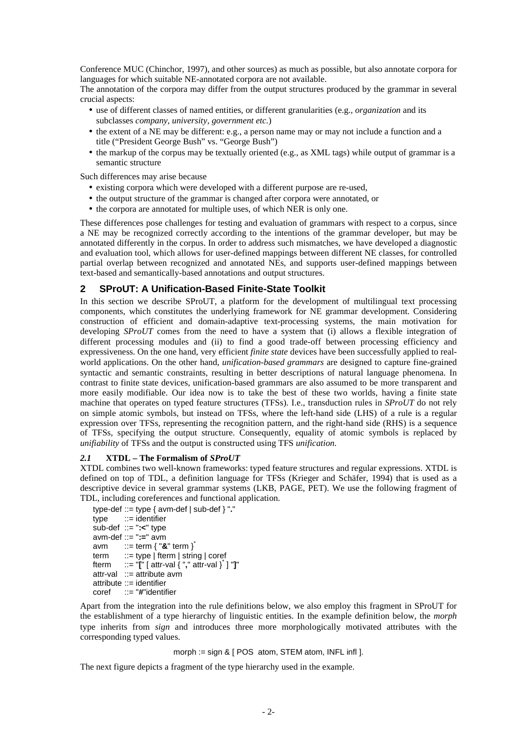Conference MUC (Chinchor, 1997), and other sources) as much as possible, but also annotate corpora for languages for which suitable NE-annotated corpora are not available.

The annotation of the corpora may differ from the output structures produced by the grammar in several crucial aspects:

- use of different classes of named entities, or different granularities (e.g., *organization* and its subclasses *company, university, government etc.*)
- the extent of a NE may be different: e.g., a person name may or may not include a function and a title ("President George Bush" vs. "George Bush")
- the markup of the corpus may be textually oriented (e.g., as XML tags) while output of grammar is a semantic structure

Such differences may arise because

- existing corpora which were developed with a different purpose are re-used,
- the output structure of the grammar is changed after corpora were annotated, or
- the corpora are annotated for multiple uses, of which NER is only one.

These differences pose challenges for testing and evaluation of grammars with respect to a corpus, since a NE may be recognized correctly according to the intentions of the grammar developer, but may be annotated differently in the corpus. In order to address such mismatches, we have developed a diagnostic and evaluation tool, which allows for user-defined mappings between different NE classes, for controlled partial overlap between recognized and annotated NEs, and supports user-defined mappings between text-based and semantically-based annotations and output structures.

### **2 SProUT: A Unification-Based Finite-State Toolkit**

In this section we describe SProUT, a platform for the development of multilingual text processing components, which constitutes the underlying framework for NE grammar development. Considering construction of efficient and domain-adaptive text-processing systems, the main motivation for developing *SProUT* comes from the need to have a system that (i) allows a flexible integration of different processing modules and (ii) to find a good trade-off between processing efficiency and expressiveness. On the one hand, very efficient *finite state* devices have been successfully applied to realworld applications. On the other hand, *unification-based grammars* are designed to capture fine-grained syntactic and semantic constraints, resulting in better descriptions of natural language phenomena. In contrast to finite state devices, unification-based grammars are also assumed to be more transparent and more easily modifiable. Our idea now is to take the best of these two worlds, having a finite state machine that operates on typed feature structures (TFSs). I.e., transduction rules in *SProUT* do not rely on simple atomic symbols, but instead on TFSs, where the left-hand side (LHS) of a rule is a regular expression over TFSs, representing the recognition pattern, and the right-hand side (RHS) is a sequence of TFSs, specifying the output structure. Consequently, equality of atomic symbols is replaced by *unifiability* of TFSs and the output is constructed using TFS *unification*.

### *2.1* **XTDL – The Formalism of** *SProUT*

XTDL combines two well-known frameworks: typed feature structures and regular expressions. XTDL is defined on top of TDL, a definition language for TFSs (Krieger and Schäfer, 1994) that is used as a descriptive device in several grammar systems (LKB, PAGE, PET). We use the following fragment of TDL, including coreferences and functional application.

```
type-def ::= type { avm-def | sub-def } "."
type ::= identifier
sub-def ::= ":<" type
avm-def ::= ":=" avm
avm ::= term { "&" term }<sup>*</sup>
term ::= type | fterm | string | coref
fterm ::= "[" [ attr-val { "," attr-val }
*
] "]"
attr-val ::= attribute avm
attribute ::= identifier
coref ::= "#"identifier
```
Apart from the integration into the rule definitions below, we also employ this fragment in SProUT for the establishment of a type hierarchy of linguistic entities. In the example definition below, the *morph* type inherits from *sign* and introduces three more morphologically motivated attributes with the corresponding typed values.

#### morph := sign & [ POS atom, STEM atom, INFL infl ].

The next figure depicts a fragment of the type hierarchy used in the example.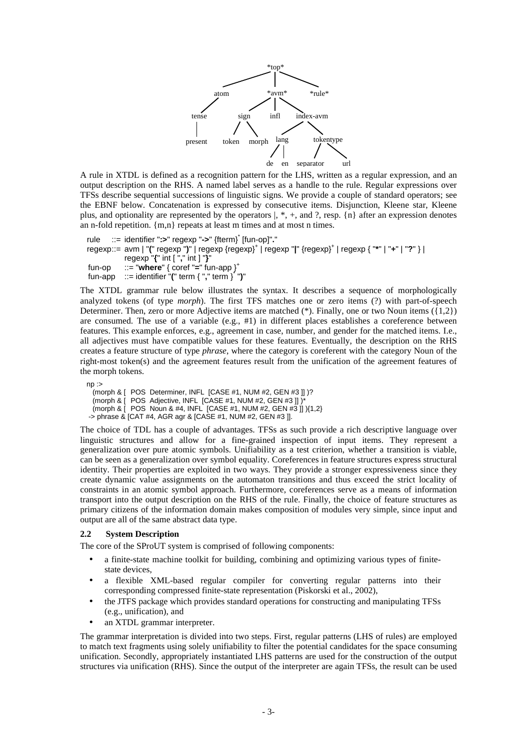

A rule in XTDL is defined as a recognition pattern for the LHS, written as a regular expression, and an output description on the RHS. A named label serves as a handle to the rule. Regular expressions over TFSs describe sequential successions of linguistic signs. We provide a couple of standard operators; see the EBNF below. Concatenation is expressed by consecutive items. Disjunction, Kleene star, Kleene plus, and optionality are represented by the operators  $, *,$ , and ?, resp.  $\{n\}$  after an expression denotes an n-fold repetition. {m,n} repeats at least m times and at most n times.

```
rule ::= identifier ":>" regexp "->" {fterm}
*
[fun-op]"."
regexp::= avm | "(" regexp ")" | regexp {regexp}
+
| regexp "|" {regexp}
+
| regexp { "*" | "+" | "?" } |
           regexp "{" int [ "," int ] "}"
fun-op ::= "where" { coref "=" fun-app }
+
fun-app ::= identifier "(" term { "," term }
*
")"
```
The XTDL grammar rule below illustrates the syntax. It describes a sequence of morphologically analyzed tokens (of type *morph*). The first TFS matches one or zero items (?) with part-of-speech Determiner. Then, zero or more Adjective items are matched (\*). Finally, one or two Noun items ({1,2}) are consumed. The use of a variable (e.g.,  $#1$ ) in different places establishes a coreference between features. This example enforces, e.g., agreement in case, number, and gender for the matched items. I.e., all adjectives must have compatible values for these features. Eventually, the description on the RHS creates a feature structure of type *phrase*, where the category is coreferent with the category Noun of the right-most token(s) and the agreement features result from the unification of the agreement features of the morph tokens.

```
np :(morph & [ POS Determiner, INFL [CASE #1, NUM #2, GEN #3 ]] )?
 (morph & [ POS Adjective, INFL [CASE #1, NUM #2, GEN #3]])
 (morph & [ POS Noun & #4, INFL [CASE #1, NUM #2, GEN #3 ]] ){1,2}
-> phrase & [CAT #4, AGR agr & [CASE #1, NUM #2, GEN #3 ]].
```
The choice of TDL has a couple of advantages. TFSs as such provide a rich descriptive language over linguistic structures and allow for a fine-grained inspection of input items. They represent a generalization over pure atomic symbols. Unifiability as a test criterion, whether a transition is viable, can be seen as a generalization over symbol equality. Coreferences in feature structures express structural identity. Their properties are exploited in two ways. They provide a stronger expressiveness since they create dynamic value assignments on the automaton transitions and thus exceed the strict locality of constraints in an atomic symbol approach. Furthermore, coreferences serve as a means of information transport into the output description on the RHS of the rule. Finally, the choice of feature structures as primary citizens of the information domain makes composition of modules very simple, since input and output are all of the same abstract data type.

### **2.2 System Description**

The core of the SProUT system is comprised of following components:

- a finite-state machine toolkit for building, combining and optimizing various types of finitestate devices,
- a flexible XML-based regular compiler for converting regular patterns into their corresponding compressed finite-state representation (Piskorski et al., 2002),
- the JTFS package which provides standard operations for constructing and manipulating TFSs (e.g., unification), and
- an XTDL grammar interpreter.

The grammar interpretation is divided into two steps. First, regular patterns (LHS of rules) are employed to match text fragments using solely unifiability to filter the potential candidates for the space consuming unification. Secondly, appropriately instantiated LHS patterns are used for the construction of the output structures via unification (RHS). Since the output of the interpreter are again TFSs, the result can be used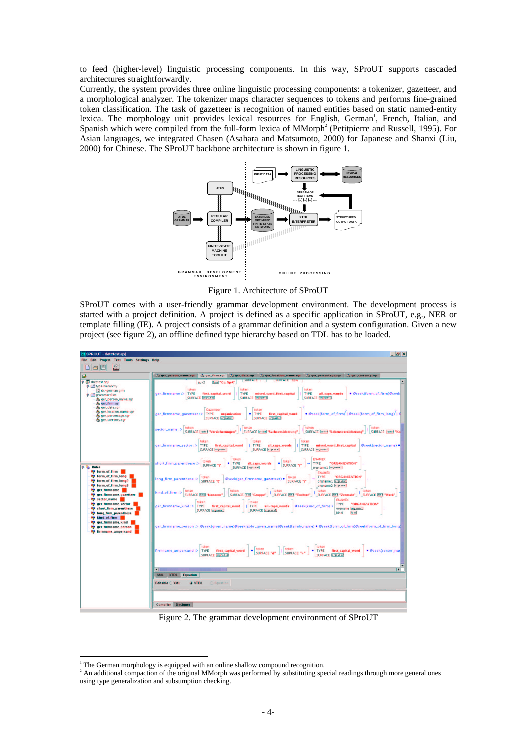to feed (higher-level) linguistic processing components. In this way, SProUT supports cascaded architectures straightforwardly.

Currently, the system provides three online linguistic processing components: a tokenizer, gazetteer, and a morphological analyzer. The tokenizer maps character sequences to tokens and performs fine-grained token classification. The task of gazetteer is recognition of named entities based on static named-entity lexica. The morphology unit provides lexical resources for English, German<sup>1</sup>, French, Italian, and Spanish which were compiled from the full-form lexica of MMorph<sup>2</sup> (Petitpierre and Russell, 1995). For Asian languages, we integrated Chasen (Asahara and Matsumoto, 2000) for Japanese and Shanxi (Liu, 2000) for Chinese. The SProUT backbone architecture is shown in figure 1.



Figure 1. Architecture of SProUT

SProUT comes with a user-friendly grammar development environment. The development process is started with a project definition. A project is defined as a specific application in SProUT, e.g., NER or template filling (IE). A project consists of a grammar definition and a system configuration. Given a new project (see figure 2), an offline defined type hierarchy based on TDL has to be loaded.



Figure 2. The grammar development environment of SProUT

<sup>&</sup>lt;sup>1</sup> The German morphology is equipped with an online shallow compound recognition.

<sup>&</sup>lt;sup>2</sup> An additional compaction of the original MMorph was performed by substituting special readings through more general ones using type generalization and subsumption checking.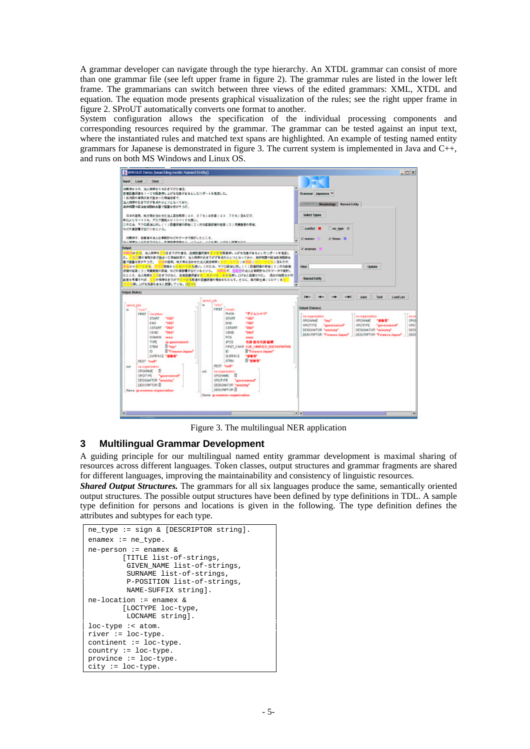A grammar developer can navigate through the type hierarchy. An XTDL grammar can consist of more than one grammar file (see left upper frame in figure 2). The grammar rules are listed in the lower left frame. The grammarians can switch between three views of the edited grammars: XML, XTDL and equation. The equation mode presents graphical visualization of the rules; see the right upper frame in figure 2. SProUT automatically converts one format to another.

System configuration allows the specification of the individual processing components and corresponding resources required by the grammar. The grammar can be tested against an input text, where the instantiated rules and matched text spans are highlighted. An example of testing named entity grammars for Japanese is demonstrated in figure 3. The current system is implemented in Java and C++, and runs on both MS Windows and Linux OS.



Figure 3. The multilingual NER application

## **3 Multilingual Grammar Development**

A guiding principle for our multilingual named entity grammar development is maximal sharing of resources across different languages. Token classes, output structures and grammar fragments are shared for different languages, improving the maintainability and consistency of linguistic resources.

*Shared Output Structures.* The grammars for all six languages produce the same, semantically oriented output structures. The possible output structures have been defined by type definitions in TDL. A sample type definition for persons and locations is given in the following. The type definition defines the attributes and subtypes for each type.

```
ne_type := sign & [DESCRIPTOR string].
enamex := ne_type.
ne-person := enamex \&[TITLE list-of-strings,
         GIVEN_NAME list-of-strings,
         SURNAME list-of-strings,
         P-POSITION list-of-strings,
         NAME-SUFFIX string].
ne-location := enamex &
        [LOCTYPE loc-type,
         LOCNAME string].
loc-type :< atom.
river := loc-type.
continent := loc-type.
country := loc-type.
province := loc-type.
city := loc-type.
```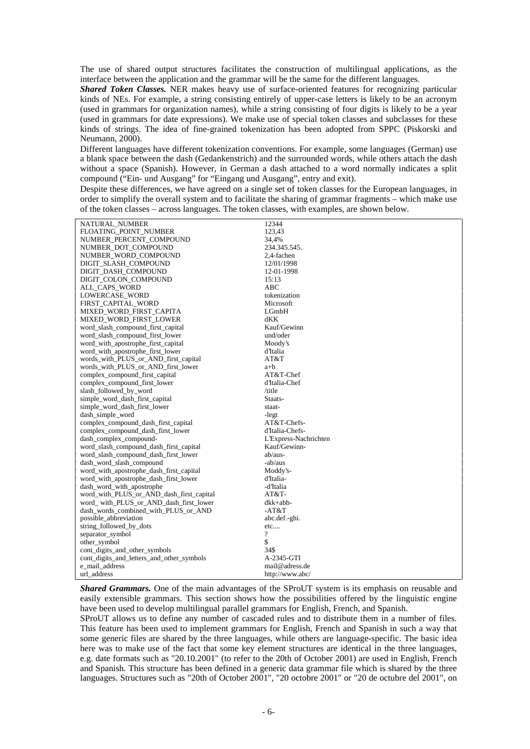The use of shared output structures facilitates the construction of multilingual applications, as the interface between the application and the grammar will be the same for the different languages.

*Shared Token Classes.* NER makes heavy use of surface-oriented features for recognizing particular kinds of NEs. For example, a string consisting entirely of upper-case letters is likely to be an acronym (used in grammars for organization names), while a string consisting of four digits is likely to be a year (used in grammars for date expressions). We make use of special token classes and subclasses for these kinds of strings. The idea of fine-grained tokenization has been adopted from SPPC (Piskorski and Neumann, 2000).

Different languages have different tokenization conventions. For example, some languages (German) use a blank space between the dash (Gedankenstrich) and the surrounded words, while others attach the dash without a space (Spanish). However, in German a dash attached to a word normally indicates a split compound ("Ein- und Ausgang" for "Eingang und Ausgang", entry and exit).

Despite these differences, we have agreed on a single set of token classes for the European languages, in order to simplify the overall system and to facilitate the sharing of grammar fragments – which make use of the token classes – across languages. The token classes, with examples, are shown below.

| NATURAL_NUMBER                            | 12344                 |
|-------------------------------------------|-----------------------|
| FLOATING_POINT_NUMBER                     | 123,43                |
| NUMBER_PERCENT_COMPOUND                   | 34,4%                 |
| NUMBER_DOT_COMPOUND                       | 234.345.545.          |
| NUMBER_WORD_COMPOUND                      | 2,4-fachen            |
| DIGIT_SLASH_COMPOUND                      | 12/01/1998            |
| DIGIT_DASH_COMPOUND                       | 12-01-1998            |
| DIGIT_COLON_COMPOUND                      | 15:13                 |
| ALL_CAPS_WORD                             | <b>ABC</b>            |
| LOWERCASE_WORD                            | tokenization          |
| FIRST CAPITAL WORD                        | Microsoft             |
| MIXED_WORD_FIRST_CAPITA                   | LGmbH                 |
| MIXED_WORD_FIRST_LOWER                    | dKK                   |
| word_slash_compound_first_capital         | Kauf/Gewinn           |
| word_slash_compound_first_lower           | und/oder              |
| word_with_apostrophe_first_capital        | Moody's               |
| word_with_apostrophe_first_lower          | d'Italia              |
| words_with_PLUS_or_AND_first_capital      | AT&T                  |
| words_with_PLUS_or_AND_first_lower        | a+b                   |
| complex_compound_first_capital            | AT&T-Chef             |
| complex_compound_first_lower              | d'Italia-Chef         |
| slash_followed_by_word                    | /title                |
| simple_word_dash_first_capital            | Staats-               |
| simple_word_dash_first_lower              | staat-                |
| dash_simple_word                          | -legt                 |
| complex_compound_dash_first_capital       | AT&T-Chefs-           |
| complex_compound_dash_first_lower         | d'Italia-Chefs-       |
| dash_complex_compound-                    | L'Express-Nachrichten |
| word_slash_compound_dash_first_capital    | Kauf/Gewinn-          |
| word_slash_compound_dash_first_lower      | ab/aus-               |
| dash_word_slash_compound                  | -ab/aus               |
| word_with_apostrophe_dash_first_capital   | Moddy's-              |
| word_with_apostrophe_dash_first_lower     | d'Italia-             |
| dash_word_with_apostrophe                 | -d'Italia             |
| word_with_PLUS_or_AND_dash_first_capital  | $AT&T-$               |
| word with PLUS or AND dash first lower    | dkk+abb-              |
| dash_words_combined_with_PLUS_or_AND      | $-AT&T$               |
| possible abbreviation                     | abc.def.-ghi.         |
| string followed by dots                   | etc                   |
| separator_symbol                          | $\overline{\cdot}$    |
| other_symbol                              | \$                    |
| cont_digits_and_other_symbols             | 34\$                  |
| cont_digits_and_letters_and_other_symbols | A-2345-GTI            |
| e mail address                            | mail@adress.de        |
| url address                               | http://www.abc/       |

**Shared Grammars.** One of the main advantages of the SProUT system is its emphasis on reusable and easily extensible grammars. This section shows how the possibilities offered by the linguistic engine have been used to develop multilingual parallel grammars for English, French, and Spanish.

SProUT allows us to define any number of cascaded rules and to distribute them in a number of files. This feature has been used to implement grammars for English, French and Spanish in such a way that some generic files are shared by the three languages, while others are language-specific. The basic idea here was to make use of the fact that some key element structures are identical in the three languages, e.g. date formats such as "20.10.2001" (to refer to the 20th of October 2001) are used in English, French and Spanish. This structure has been defined in a generic data grammar file which is shared by the three languages. Structures such as "20th of October 2001", "20 octobre 2001" or "20 de octubre del 2001", on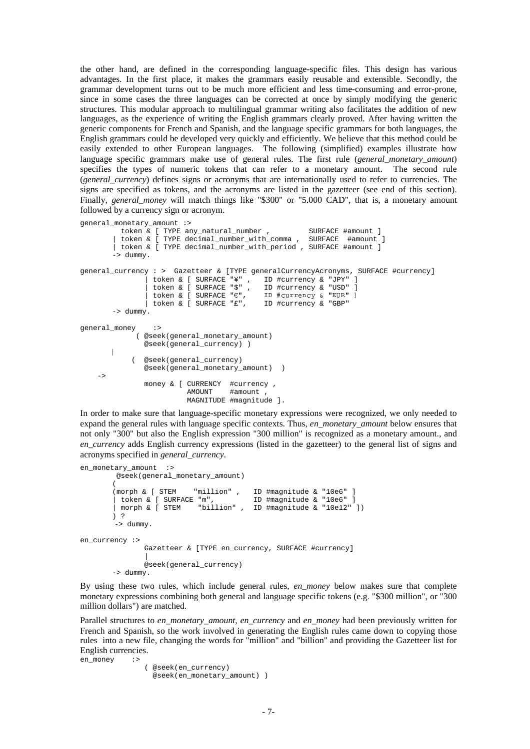the other hand, are defined in the corresponding language-specific files. This design has various advantages. In the first place, it makes the grammars easily reusable and extensible. Secondly, the grammar development turns out to be much more efficient and less time-consuming and error-prone, since in some cases the three languages can be corrected at once by simply modifying the generic structures. This modular approach to multilingual grammar writing also facilitates the addition of new languages, as the experience of writing the English grammars clearly proved. After having written the generic components for French and Spanish, and the language specific grammars for both languages, the English grammars could be developed very quickly and efficiently. We believe that this method could be easily extended to other European languages. The following (simplified) examples illustrate how language specific grammars make use of general rules. The first rule (*general\_monetary\_amount*) specifies the types of numeric tokens that can refer to a monetary amount. The second rule (*general\_currency*) defines signs or acronyms that are internationally used to refer to currencies. The signs are specified as tokens, and the acronyms are listed in the gazetteer (see end of this section). Finally, *general money* will match things like "\$300" or "5.000 CAD", that is, a monetary amount followed by a currency sign or acronym.

```
general_monetary_amount :>
           token & [ TYPE any_natural_number , SURFACE #amount ]<br>token & [ TYPE decimal_number_with_comma , SURFACE #amount ]
           token & [ TYPE decimal_number_with_comma ,
         | token & [ TYPE decimal_number_with_period , SURFACE #amount ]
         \rightarrow dummy.
general_currency : > Gazetteer & [TYPE generalCurrencyAcronyms, SURFACE #currency]
                  | token & [ SURFACE "¥" , ID #currency & "JPY" ]
                  | token & [ SURFACE "$" , ID #currency & "USD" ]
                  | token & [ SURFACE "€",    ID #currency & "EUR" ]<br>| token & [ SURFACE "£",    ID #currency & "GBP"
         -> dummy.
general_money :>
               ( @seek(general_monetary_amount)
                  @seek(general_currency) )
        \overline{\phantom{a}}|
              ( @seek(general_currency)
                  @seek(general_monetary_amount) )
    \rightarrowmoney & [ CURRENCY #currency ,
                              AMOUNT #amOunt
                              MAGNITUDE #magnitude ].
```
In order to make sure that language-specific monetary expressions were recognized, we only needed to expand the general rules with language specific contexts. Thus, *en\_monetary\_amount* below ensures that not only "300" but also the English expression "300 million" is recognized as a monetary amount., and *en\_currency* adds English currency expressions (listed in the gazetteer) to the general list of signs and acronyms specified in *general\_currency*.

```
en_monetary_amount :>
         @seek(general_monetary_amount)
         (
         (morph & [ STEM "million" , ID #magnitude & "10e6" ]<br>| token & [ SURFACE "m",  ID #magnitude & "10e6" ]
         \int token & \int SURFACE "m",
          | morph & [ STEM "billion" , ID #magnitude & "10e12" ])
         ) ?
         -> dummy.
en_currency :>
                 Gazetteer & [TYPE en_currency, SURFACE #currency]
                  |
                 @seek(general_currency)
         -> dummy.
```
By using these two rules, which include general rules, *en\_money* below makes sure that complete monetary expressions combining both general and language specific tokens (e.g. "\$300 million", or "300 million dollars") are matched.

Parallel structures to *en\_monetary\_amount*, *en\_currency* and *en\_money* had been previously written for French and Spanish, so the work involved in generating the English rules came down to copying those rules into a new file, changing the words for "million" and "billion" and providing the Gazetteer list for English currencies.

```
en_money :>
              ( @seek(en_currency)
                @seek(en_monetary_amount) )
```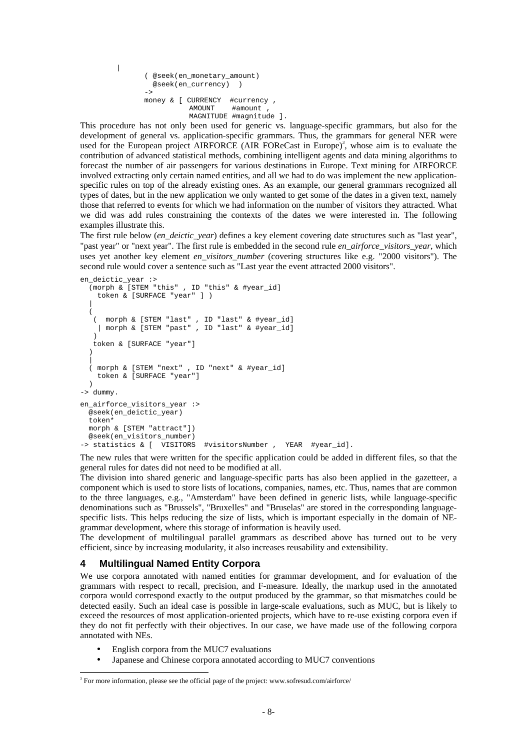```
( @seek(en_monetary_amount)
  @seek(en_currency) )
->
money & [ CURRENCY #currency ,
          AMOUNT #amount
          MAGNITUDE #magnitude ].
```
|

This procedure has not only been used for generic vs. language-specific grammars, but also for the development of general vs. application-specific grammars. Thus, the grammars for general NER were used for the European project AIRFORCE (AIR FOReCast in Europe)<sup>3</sup>, whose aim is to evaluate the contribution of advanced statistical methods, combining intelligent agents and data mining algorithms to forecast the number of air passengers for various destinations in Europe. Text mining for AIRFORCE involved extracting only certain named entities, and all we had to do was implement the new applicationspecific rules on top of the already existing ones. As an example, our general grammars recognized all types of dates, but in the new application we only wanted to get some of the dates in a given text, namely those that referred to events for which we had information on the number of visitors they attracted. What we did was add rules constraining the contexts of the dates we were interested in. The following examples illustrate this.

The first rule below *(en\_deictic\_year*) defines a key element covering date structures such as "last year", "past year" or "next year". The first rule is embedded in the second rule *en\_airforce\_visitors\_year*, which uses yet another key element *en\_visitors\_number* (covering structures like e.g. "2000 visitors"). The second rule would cover a sentence such as "Last year the event attracted 2000 visitors".

```
en deictic year :>
  (morph & [STEM "this" , ID "this" & #year_id]
    token & [SURFACE "year" ] )
  |
  (
   ( morph & [STEM "last" , ID "last" & #year_id]
    | morph & [STEM "past" , ID "last" & #year_id]
   \lambdatoken & [SURFACE "year"]
  )
  |
  ( morph & [STEM "next" , ID "next" & #year_id]
    token & [SURFACE "year"]
  )
-> dummy.
en_airforce_visitors_year :>
  @seek(en_deictic_year)
  token*
  morph & [STEM "attract"])
  @seek(en_visitors_number)
-> statistics & [ VISITORS #visitorsNumber , YEAR #year_id].
```
The new rules that were written for the specific application could be added in different files, so that the general rules for dates did not need to be modified at all.

The division into shared generic and language-specific parts has also been applied in the gazetteer, a component which is used to store lists of locations, companies, names, etc. Thus, names that are common to the three languages, e.g., "Amsterdam" have been defined in generic lists, while language-specific denominations such as "Brussels", "Bruxelles" and "Bruselas" are stored in the corresponding languagespecific lists. This helps reducing the size of lists, which is important especially in the domain of NEgrammar development, where this storage of information is heavily used.

The development of multilingual parallel grammars as described above has turned out to be very efficient, since by increasing modularity, it also increases reusability and extensibility.

### **4 Multilingual Named Entity Corpora**

We use corpora annotated with named entities for grammar development, and for evaluation of the grammars with respect to recall, precision, and F-measure. Ideally, the markup used in the annotated corpora would correspond exactly to the output produced by the grammar, so that mismatches could be detected easily. Such an ideal case is possible in large-scale evaluations, such as MUC, but is likely to exceed the resources of most application-oriented projects, which have to re-use existing corpora even if they do not fit perfectly with their objectives. In our case, we have made use of the following corpora annotated with NEs.

• English corpora from the MUC7 evaluations

 $\overline{a}$ 

• Japanese and Chinese corpora annotated according to MUC7 conventions

<sup>&</sup>lt;sup>3</sup> For more information, please see the official page of the project: www.sofresud.com/airforce/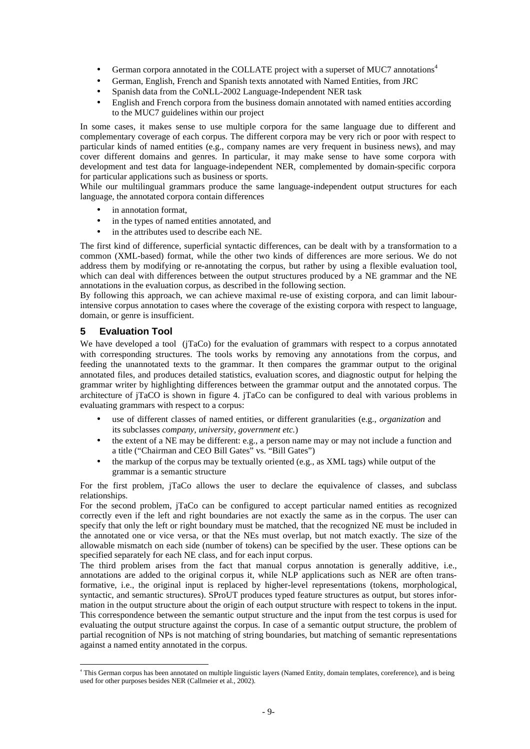- German corpora annotated in the COLLATE project with a superset of MUC7 annotations<sup>4</sup>
- German, English, French and Spanish texts annotated with Named Entities, from JRC
- Spanish data from the CoNLL-2002 Language-Independent NER task
- English and French corpora from the business domain annotated with named entities according to the MUC7 guidelines within our project

In some cases, it makes sense to use multiple corpora for the same language due to different and complementary coverage of each corpus. The different corpora may be very rich or poor with respect to particular kinds of named entities (e.g., company names are very frequent in business news), and may cover different domains and genres. In particular, it may make sense to have some corpora with development and test data for language-independent NER, complemented by domain-specific corpora for particular applications such as business or sports.

While our multilingual grammars produce the same language-independent output structures for each language, the annotated corpora contain differences

- in annotation format.
- in the types of named entities annotated, and
- in the attributes used to describe each NE.

The first kind of difference, superficial syntactic differences, can be dealt with by a transformation to a common (XML-based) format, while the other two kinds of differences are more serious. We do not address them by modifying or re-annotating the corpus, but rather by using a flexible evaluation tool, which can deal with differences between the output structures produced by a NE grammar and the NE annotations in the evaluation corpus, as described in the following section.

By following this approach, we can achieve maximal re-use of existing corpora, and can limit labourintensive corpus annotation to cases where the coverage of the existing corpora with respect to language, domain, or genre is insufficient.

### **5 Evaluation Tool**

We have developed a tool (jTaCo) for the evaluation of grammars with respect to a corpus annotated with corresponding structures. The tools works by removing any annotations from the corpus, and feeding the unannotated texts to the grammar. It then compares the grammar output to the original annotated files, and produces detailed statistics, evaluation scores, and diagnostic output for helping the grammar writer by highlighting differences between the grammar output and the annotated corpus. The architecture of jTaCO is shown in figure 4. jTaCo can be configured to deal with various problems in evaluating grammars with respect to a corpus:

- use of different classes of named entities, or different granularities (e.g., *organization* and its subclasses *company, university, government etc.*)
- the extent of a NE may be different: e.g., a person name may or may not include a function and a title ("Chairman and CEO Bill Gates" vs. "Bill Gates")
- the markup of the corpus may be textually oriented (e.g., as XML tags) while output of the grammar is a semantic structure

For the first problem, jTaCo allows the user to declare the equivalence of classes, and subclass relationships.

For the second problem, jTaCo can be configured to accept particular named entities as recognized correctly even if the left and right boundaries are not exactly the same as in the corpus. The user can specify that only the left or right boundary must be matched, that the recognized NE must be included in the annotated one or vice versa, or that the NEs must overlap, but not match exactly. The size of the allowable mismatch on each side (number of tokens) can be specified by the user. These options can be specified separately for each NE class, and for each input corpus.

The third problem arises from the fact that manual corpus annotation is generally additive, i.e., annotations are added to the original corpus it, while NLP applications such as NER are often transformative, i.e., the original input is replaced by higher-level representations (tokens, morphological, syntactic, and semantic structures). SProUT produces typed feature structures as output, but stores information in the output structure about the origin of each output structure with respect to tokens in the input. This correspondence between the semantic output structure and the input from the test corpus is used for evaluating the output structure against the corpus. In case of a semantic output structure, the problem of partial recognition of NPs is not matching of string boundaries, but matching of semantic representations against a named entity annotated in the corpus.

 4 This German corpus has been annotated on multiple linguistic layers (Named Entity, domain templates, coreference), and is being used for other purposes besides NER (Callmeier et al., 2002).